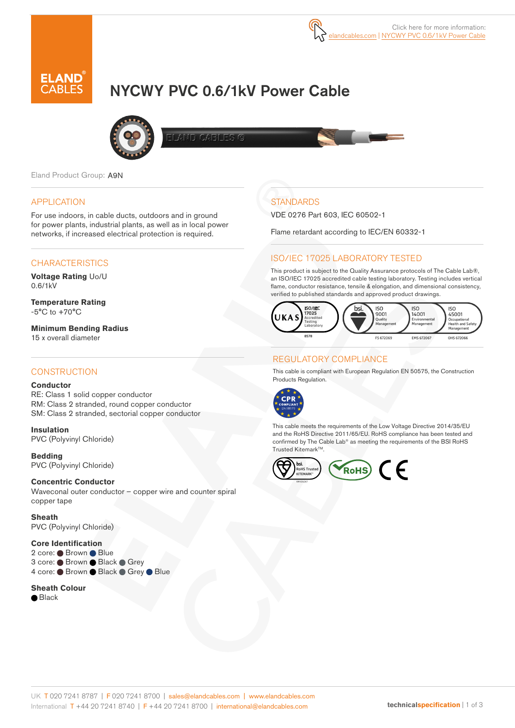

# NYCWY PVC 0.6/1kV Power Cable



**AND OARNES** 

Eland Product Group: A9N

### APPLICATION

For use indoors, in cable ducts, outdoors and in ground for power plants, industrial plants, as well as in local power networks, if increased electrical protection is required.

# **CHARACTERISTICS**

**Voltage Rating** Uo/U 0.6/1kV

**Temperature Rating**  $-5^{\circ}$ C to  $+70^{\circ}$ C

**Minimum Bending Radius**  15 x overall diameter

### **CONSTRUCTION**

#### **Conductor**

RE: Class 1 solid copper conductor RM: Class 2 stranded, round copper conductor SM: Class 2 stranded, sectorial copper conductor

**Insulation** PVC (Polyvinyl Chloride)

**Bedding** PVC (Polyvinyl Chloride)

#### **Concentric Conductor**

Waveconal outer conductor – copper wire and counter spiral copper tape

**Sheath**  PVC (Polyvinyl Chloride)

### **Core Identification**

2 core: Brown Blue 3 core: ● Brown ● Black ● Grey 4 core: ● Brown ● Black ● Grey ● Blue

#### **Sheath Colour**

● Black

# **STANDARDS**

VDE 0276 Part 603, IEC 60502-1

Flame retardant according to IEC/EN 60332-1

# ISO/IEC 17025 LABORATORY TESTED

This product is subject to the Quality Assurance protocols of The Cable Lab®, an ISO/IEC 17025 accredited cable testing laboratory. Testing includes vertical flame, conductor resistance, tensile & elongation, and dimensional consistency, verified to published standards and approved product drawings.



# REGULATORY COMPLIANCE

This cable is compliant with European Regulation EN 50575, the Construction Products Regulation.



This cable meets the requirements of the Low Voltage Directive 2014/35/EU and the RoHS Directive 2011/65/EU. RoHS compliance has been tested and confirmed by The Cable Lab® as meeting the requirements of the BSI RoHS Trusted Kitemark<sup>™</sup>.

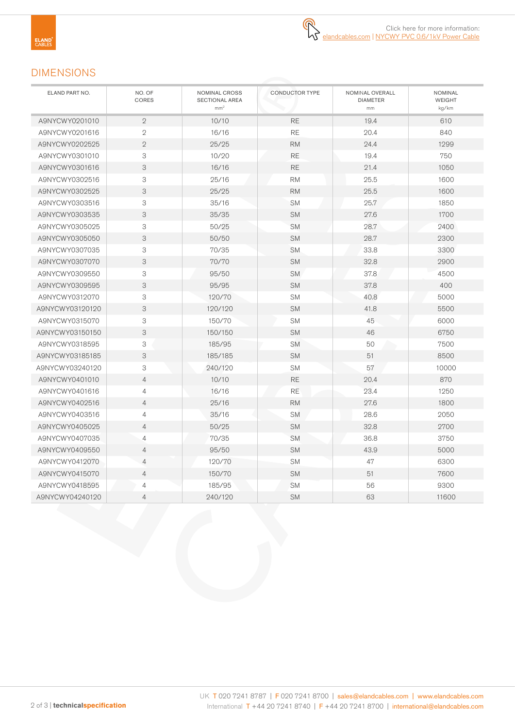# DIMENSIONS

| ELAND PART NO.  | NO. OF<br>CORES | NOMINAL CROSS<br><b>SECTIONAL AREA</b><br>mm <sup>2</sup> | CONDUCTOR TYPE<br>NOMINAL OVERALL<br><b>DIAMETER</b><br>mm |      | NOMINAL<br><b>WEIGHT</b><br>kg/km |
|-----------------|-----------------|-----------------------------------------------------------|------------------------------------------------------------|------|-----------------------------------|
| A9NYCWY0201010  | $\overline{2}$  | 10/10                                                     | <b>RE</b>                                                  | 19.4 | 610                               |
| A9NYCWY0201616  | $\overline{2}$  | 16/16                                                     | <b>RE</b><br>20.4                                          |      | 840                               |
| A9NYCWY0202525  | $\overline{2}$  | 25/25                                                     | <b>RM</b>                                                  | 24.4 | 1299                              |
| A9NYCWY0301010  | 3               | 10/20                                                     | <b>RE</b>                                                  | 19.4 | 750                               |
| A9NYCWY0301616  | 3               | 16/16                                                     | $\mathsf{RE}$<br>21.4                                      |      | 1050                              |
| A9NYCWY0302516  | 3               | 25/16                                                     | <b>RM</b>                                                  | 25.5 | 1600                              |
| A9NYCWY0302525  | 3               | 25/25                                                     | <b>RM</b>                                                  | 25.5 | 1600                              |
| A9NYCWY0303516  | 3               | 35/16                                                     | <b>SM</b>                                                  | 25.7 | 1850                              |
| A9NYCWY0303535  | 3               | 35/35                                                     | <b>SM</b>                                                  | 27.6 | 1700                              |
| A9NYCWY0305025  | 3               | 50/25                                                     | <b>SM</b>                                                  | 28.7 | 2400                              |
| A9NYCWY0305050  | 3               | 50/50                                                     | <b>SM</b>                                                  | 28.7 | 2300                              |
| A9NYCWY0307035  | 3               | 70/35                                                     | <b>SM</b>                                                  | 33.8 | 3300                              |
| A9NYCWY0307070  | 3               | 70/70                                                     | <b>SM</b>                                                  | 32.8 | 2900                              |
| A9NYCWY0309550  | 3               | 95/50                                                     | <b>SM</b>                                                  | 37.8 | 4500                              |
| A9NYCWY0309595  | 3               | 95/95                                                     | <b>SM</b>                                                  | 37.8 | 400                               |
| A9NYCWY0312070  | 3               | 120/70                                                    | <b>SM</b>                                                  | 40.8 | 5000                              |
| A9NYCWY03120120 | 3               | 120/120                                                   | <b>SM</b>                                                  | 41.8 | 5500                              |
| A9NYCWY0315070  | 3               | 150/70                                                    | <b>SM</b>                                                  | 45   | 6000                              |
| A9NYCWY03150150 | 3               | 150/150                                                   | <b>SM</b>                                                  | 46   | 6750                              |
| A9NYCWY0318595  | 3               | 185/95                                                    | <b>SM</b>                                                  | 50   | 7500                              |
| A9NYCWY03185185 | 3               | 185/185                                                   | <b>SM</b>                                                  | 51   | 8500                              |
| A9NYCWY03240120 | 3               | 240/120                                                   | <b>SM</b>                                                  | 57   | 10000                             |
| A9NYCWY0401010  | $\overline{4}$  | 10/10                                                     | <b>RE</b>                                                  | 20.4 | 870                               |
| A9NYCWY0401616  | $\overline{4}$  | 16/16                                                     | <b>RE</b>                                                  | 23.4 | 1250                              |
| A9NYCWY0402516  | $\overline{4}$  | 25/16                                                     | <b>RM</b>                                                  | 27.6 | 1800                              |
| A9NYCWY0403516  | $\overline{4}$  | 35/16                                                     | <b>SM</b>                                                  | 28.6 | 2050                              |
| A9NYCWY0405025  | $\overline{4}$  | 50/25                                                     | <b>SM</b>                                                  | 32.8 | 2700                              |
| A9NYCWY0407035  | $\overline{4}$  | 70/35                                                     | <b>SM</b>                                                  | 36.8 | 3750                              |
| A9NYCWY0409550  | 4               | 95/50                                                     | <b>SM</b>                                                  | 43.9 | 5000                              |
| A9NYCWY0412070  | $\overline{4}$  | 120/70                                                    | <b>SM</b>                                                  | 47   | 6300                              |
| A9NYCWY0415070  | $\overline{4}$  | 150/70                                                    | SM                                                         | 51   | 7600                              |
| A9NYCWY0418595  | 4               | 185/95                                                    | <b>SM</b>                                                  | 56   | 9300                              |
| A9NYCWY04240120 | $\overline{4}$  | 240/120                                                   | <b>SM</b>                                                  | 63   | 11600                             |